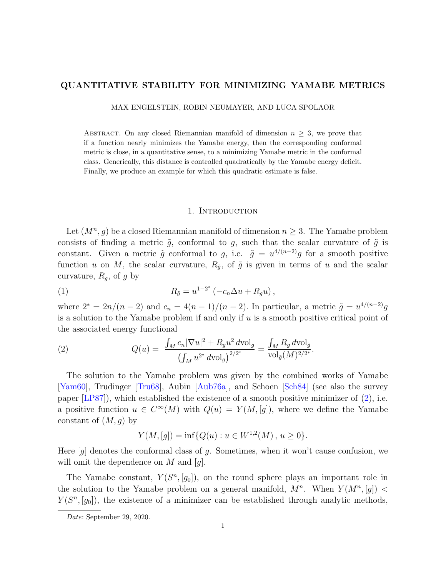# QUANTITATIVE STABILITY FOR MINIMIZING YAMABE METRICS

MAX ENGELSTEIN, ROBIN NEUMAYER, AND LUCA SPOLAOR

ABSTRACT. On any closed Riemannian manifold of dimension  $n \geq 3$ , we prove that if a function nearly minimizes the Yamabe energy, then the corresponding conformal metric is close, in a quantitative sense, to a minimizing Yamabe metric in the conformal class. Generically, this distance is controlled quadratically by the Yamabe energy deficit. Finally, we produce an example for which this quadratic estimate is false.

#### 1. Introduction

<span id="page-0-1"></span>Let  $(M^n, g)$  be a closed Riemannian manifold of dimension  $n \geq 3$ . The Yamabe problem consists of finding a metric  $\tilde{g}$ , conformal to g, such that the scalar curvature of  $\tilde{g}$  is constant. Given a metric  $\tilde{g}$  conformal to g, i.e.  $\tilde{g} = u^{4/(n-2)}g$  for a smooth positive function u on M, the scalar curvature,  $R_{\tilde{q}}$ , of  $\tilde{g}$  is given in terms of u and the scalar curvature,  $R_g$ , of g by

(1) 
$$
R_{\tilde{g}} = u^{1-2^*} (-c_n \Delta u + R_g u),
$$

where  $2^* = 2n/(n-2)$  and  $c_n = 4(n-1)/(n-2)$ . In particular, a metric  $\tilde{g} = u^{4/(n-2)}g$ is a solution to the Yamabe problem if and only if  $u$  is a smooth positive critical point of the associated energy functional

<span id="page-0-0"></span>(2) 
$$
Q(u) = \frac{\int_M c_n |\nabla u|^2 + R_g u^2 \, d\text{vol}_g}{\left(\int_M u^{2^*} \, d\text{vol}_g\right)^{2/2^*}} = \frac{\int_M R_{\tilde{g}} \, d\text{vol}_{\tilde{g}}}{\text{vol}_{\tilde{g}}(M)^{2/2^*}}.
$$

The solution to the Yamabe problem was given by the combined works of Yamabe [\[Yam60\]](#page-21-0), Trudinger [\[Tru68\]](#page-21-1), Aubin [\[Aub76a\]](#page-19-0), and Schoen [\[Sch84\]](#page-21-2) (see also the survey paper  $[LP87]$ , which established the existence of a smooth positive minimizer of  $(2)$ , i.e. a positive function  $u \in C^{\infty}(M)$  with  $Q(u) = Y(M, [g])$ , where we define the Yamabe constant of  $(M, g)$  by

$$
Y(M, [g]) = \inf \{ Q(u) : u \in W^{1,2}(M), u \ge 0 \}.
$$

Here  $|g|$  denotes the conformal class of g. Sometimes, when it won't cause confusion, we will omit the dependence on  $M$  and  $[q]$ .

The Yamabe constant,  $Y(S^n, [g_0])$ , on the round sphere plays an important role in the solution to the Yamabe problem on a general manifold,  $M^n$ . When  $Y(M^n, [g])$  $Y(S<sup>n</sup>, [g<sub>0</sub>])$ , the existence of a minimizer can be established through analytic methods,

Date: September 29, 2020.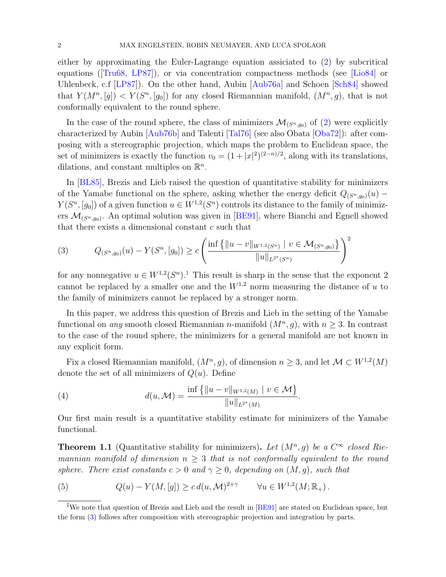either by approximating the Euler-Lagrange equation assiciated to [\(2\)](#page-0-0) by subcritical equations ([\[Tru68,](#page-21-1) [LP87\]](#page-20-0)), or via concentration compactness methods (see [\[Lio84\]](#page-20-1) or Uhlenbeck, c.f [\[LP87\]](#page-20-0)). On the other hand, Aubin [\[Aub76a\]](#page-19-0) and Schoen [\[Sch84\]](#page-21-2) showed that  $Y(M^n, [g]) < Y(S^n, [g_0])$  for any closed Riemannian manifold,  $(M^n, g)$ , that is not conformally equivalent to the round sphere.

In the case of the round sphere, the class of minimizers  $\mathcal{M}_{(S^n,g_0)}$  of [\(2\)](#page-0-0) were explicitly characterized by Aubin [\[Aub76b\]](#page-19-1) and Talenti [\[Tal76\]](#page-21-3) (see also Obata [\[Oba72\]](#page-21-4)): after composing with a stereographic projection, which maps the problem to Euclidean space, the set of minimizers is exactly the function  $v_0 = (1 + |x|^2)^{(2-n)/2}$ , along with its translations, dilations, and constant multiples on  $\mathbb{R}^n$ .

In [\[BL85\]](#page-19-2), Brezis and Lieb raised the question of quantitative stability for minimizers of the Yamabe functional on the sphere, asking whether the energy deficit  $Q_{(S^n,g_0)}(u)$  −  $Y(S^n, [g_0])$  of a given function  $u \in W^{1,2}(S^n)$  controls its distance to the family of minimizers  $\mathcal{M}_{(S^n,g_0)}$ . An optimal solution was given in [\[BE91\]](#page-19-3), where Bianchi and Egnell showed that there exists a dimensional constant c such that

<span id="page-1-1"></span>
$$
(3) \qquad Q_{(S^{n},g_{0})}(u) - Y(S^{n},[g_{0}]) \ge c \left( \frac{\inf \{ ||u - v||_{W^{1,2}(S^{n})} \mid v \in \mathcal{M}_{(S^{n},g_{0})} \}}{||u||_{L^{2^{*}}(S^{n})}} \right)^{2}
$$

for any nonnegative  $u \in W^{1,2}(S^n)$  $u \in W^{1,2}(S^n)$  $u \in W^{1,2}(S^n)$ .<sup>1</sup> This result is sharp in the sense that the exponent 2 cannot be replaced by a smaller one and the  $W^{1,2}$  norm measuring the distance of u to the family of minimizers cannot be replaced by a stronger norm.

In this paper, we address this question of Brezis and Lieb in the setting of the Yamabe functional on *any* smooth closed Riemannian *n*-manifold  $(M^n, g)$ , with  $n \geq 3$ . In contrast to the case of the round sphere, the minimizers for a general manifold are not known in any explicit form.

Fix a closed Riemannian manifold,  $(M^n, g)$ , of dimension  $n \geq 3$ , and let  $\mathcal{M} \subset W^{1,2}(M)$ denote the set of all minimizers of  $Q(u)$ . Define

(4) 
$$
d(u, \mathcal{M}) = \frac{\inf \{ ||u - v||_{W^{1,2}(M)} \mid v \in \mathcal{M} \}}{||u||_{L^{2^*}(M)}}.
$$

Our first main result is a quantitative stability estimate for minimizers of the Yamabe functional.

<span id="page-1-2"></span>**Theorem 1.1** (Quantitative stability for minimizers). Let  $(M^n, g)$  be a  $C^{\infty}$  closed Riemannian manifold of dimension  $n \geq 3$  that is not conformally equivalent to the round sphere. There exist constants  $c > 0$  and  $\gamma \geq 0$ , depending on  $(M, g)$ , such that

<span id="page-1-3"></span>(5) 
$$
Q(u) - Y(M, [g]) \geq c d(u, \mathcal{M})^{2+\gamma} \qquad \forall u \in W^{1,2}(M; \mathbb{R}_+).
$$

<span id="page-1-0"></span><sup>&</sup>lt;sup>1</sup>We note that question of Brezis and Lieb and the result in [\[BE91\]](#page-19-3) are stated on Euclidean space, but the form [\(3\)](#page-1-1) follows after composition with stereographic projection and integration by parts.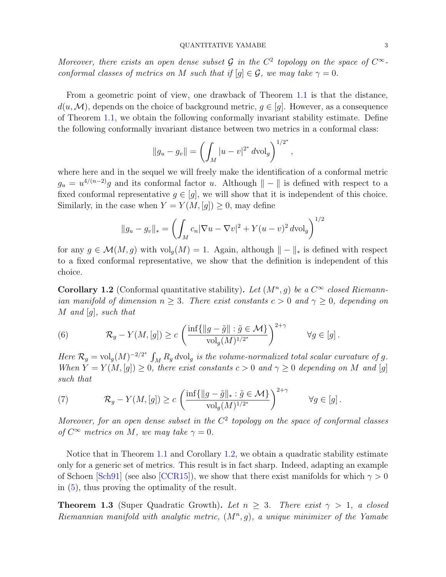#### QUANTITATIVE YAMABE 3

Moreover, there exists an open dense subset G in the  $C^2$  topology on the space of  $C^{\infty}$ conformal classes of metrics on M such that if  $[q] \in \mathcal{G}$ , we may take  $\gamma = 0$ .

From a geometric point of view, one drawback of Theorem [1.1](#page-1-2) is that the distance,  $d(u, \mathcal{M})$ , depends on the choice of background metric,  $g \in [g]$ . However, as a consequence of Theorem [1.1,](#page-1-2) we obtain the following conformally invariant stability estimate. Define the following conformally invariant distance between two metrics in a conformal class:

$$
||g_u - g_v|| = \left(\int_M |u - v|^{2^*} dvol_g\right)^{1/2^*},
$$

where here and in the sequel we will freely make the identification of a conformal metric  $g_u = u^{4/(n-2)}g$  and its conformal factor u. Although  $\| - \|$  is defined with respect to a fixed conformal representative  $g \in [g]$ , we will show that it is independent of this choice. Similarly, in the case when  $Y = Y(M, [g]) \geq 0$ , may define

$$
||g_u - g_v||_* = \left( \int_M c_n |\nabla u - \nabla v|^2 + Y(u - v)^2 dv \, dy \right)^{1/2}
$$

for any  $g \in \mathcal{M}(M,g)$  with  $\mathrm{vol}_g(M) = 1$ . Again, although  $\| - \|_*$  is defined with respect to a fixed conformal representative, we show that the definition is independent of this choice.

<span id="page-2-0"></span>**Corollary 1.2** (Conformal quantitative stability). Let  $(M^n, g)$  be a  $C^{\infty}$  closed Riemannian manifold of dimension  $n \geq 3$ . There exist constants  $c > 0$  and  $\gamma \geq 0$ , depending on  $M$  and  $[g]$ , such that

<span id="page-2-2"></span>(6) 
$$
\mathcal{R}_g - Y(M,[g]) \ge c \left( \frac{\inf \{ ||g - \tilde{g}|| : \tilde{g} \in \mathcal{M} \}}{\text{vol}_g(M)^{1/2^*}} \right)^{2+\gamma} \qquad \forall g \in [g].
$$

Here  $\mathcal{R}_g = \text{vol}_g(M)^{-2/2^*} \int_M R_g d\text{vol}_g$  is the volume-normalized total scalar curvature of g. When  $Y = Y(M, [g]) \geq 0$ , there exist constants  $c > 0$  and  $\gamma \geq 0$  depending on M and [g] such that

<span id="page-2-3"></span>(7) 
$$
\mathcal{R}_g - Y(M,[g]) \ge c \left( \frac{\inf \{ ||g - \tilde{g}||_* : \tilde{g} \in \mathcal{M} \}}{\text{vol}_g(M)^{1/2^*}} \right)^{2+\gamma} \qquad \forall g \in [g].
$$

Moreover, for an open dense subset in the  $C<sup>2</sup>$  topology on the space of conformal classes of  $C^{\infty}$  metrics on M, we may take  $\gamma = 0$ .

Notice that in Theorem [1.1](#page-1-2) and Corollary [1.2,](#page-2-0) we obtain a quadratic stability estimate only for a generic set of metrics. This result is in fact sharp. Indeed, adapting an example of Schoen [\[Sch91\]](#page-21-5) (see also [\[CCR15\]](#page-19-4)), we show that there exist manifolds for which  $\gamma > 0$ in [\(5\)](#page-1-3), thus proving the optimality of the result.

<span id="page-2-1"></span>**Theorem 1.3** (Super Quadratic Growth). Let  $n \geq 3$ . There exist  $\gamma > 1$ , a closed Riemannian manifold with analytic metric,  $(M^n, g)$ , a unique minimizer of the Yamabe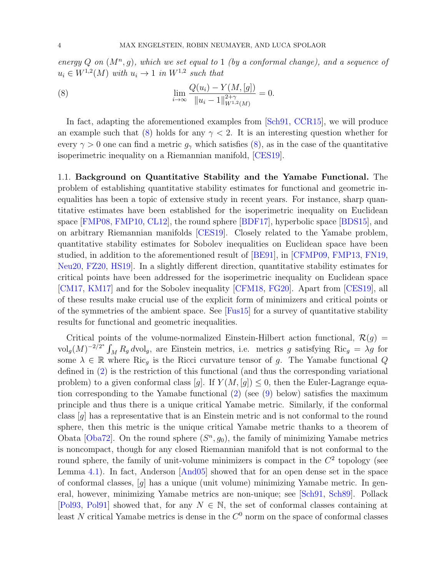energy Q on  $(M^n, g)$ , which we set equal to 1 (by a conformal change), and a sequence of  $u_i \in W^{1,2}(M)$  with  $u_i \to 1$  in  $W^{1,2}$  such that

<span id="page-3-0"></span>(8) 
$$
\lim_{i \to \infty} \frac{Q(u_i) - Y(M, [g])}{\|u_i - 1\|_{W^{1,2}(M)}^{2+\gamma}} = 0.
$$

In fact, adapting the aforementioned examples from [\[Sch91,](#page-21-5) [CCR15\]](#page-19-4), we will produce an example such that [\(8\)](#page-3-0) holds for any  $\gamma$  < 2. It is an interesting question whether for every  $\gamma > 0$  one can find a metric  $g_{\gamma}$  which satisfies [\(8\)](#page-3-0), as in the case of the quantitative isoperimetric inequality on a Riemannian manifold, [\[CES19\]](#page-19-5).

1.1. Background on Quantitative Stability and the Yamabe Functional. The problem of establishing quantitative stability estimates for functional and geometric inequalities has been a topic of extensive study in recent years. For instance, sharp quantitative estimates have been established for the isoperimetric inequality on Euclidean space [\[FMP08,](#page-20-2) [FMP10,](#page-20-3) [CL12\]](#page-20-4), the round sphere [\[BDF17\]](#page-19-6), hyperbolic space [\[BDS15\]](#page-19-7), and on arbitrary Riemannian manifolds [\[CES19\]](#page-19-5). Closely related to the Yamabe problem, quantitative stability estimates for Sobolev inequalities on Euclidean space have been studied, in addition to the aforementioned result of [\[BE91\]](#page-19-3), in [\[CFMP09,](#page-20-5) [FMP13,](#page-20-6) [FN19,](#page-20-7) [Neu20,](#page-20-8) [FZ20,](#page-20-9) [HS19\]](#page-20-10). In a slightly different direction, quantitative stability estimates for critical points have been addressed for the isoperimetric inequality on Euclidean space [\[CM17,](#page-20-11) [KM17\]](#page-20-12) and for the Sobolev inequality [\[CFM18,](#page-20-13) [FG20\]](#page-20-14). Apart from [\[CES19\]](#page-19-5), all of these results make crucial use of the explicit form of minimizers and critical points or of the symmetries of the ambient space. See [\[Fus15\]](#page-20-15) for a survey of quantitative stability results for functional and geometric inequalities.

Critical points of the volume-normalized Einstein-Hilbert action functional,  $\mathcal{R}(q)$  =  $\text{vol}_g(M)^{-2/2^*}\int_M R_g d\text{vol}_g$ , are Einstein metrics, i.e. metrics g satisfying  $\text{Ric}_g = \lambda g$  for some  $\lambda \in \mathbb{R}$  where Ric<sub>q</sub> is the Ricci curvature tensor of g. The Yamabe functional Q defined in [\(2\)](#page-0-0) is the restriction of this functional (and thus the corresponding variational problem) to a given conformal class [g]. If  $Y(M, [g]) \leq 0$ , then the Euler-Lagrange equation corresponding to the Yamabe functional [\(2\)](#page-0-0) (see [\(9\)](#page-5-0) below) satisfies the maximum principle and thus there is a unique critical Yamabe metric. Similarly, if the conformal class [g] has a representative that is an Einstein metric and is not conformal to the round sphere, then this metric is the unique critical Yamabe metric thanks to a theorem of Obata [\[Oba72\]](#page-21-4). On the round sphere  $(S<sup>n</sup>, g<sub>0</sub>)$ , the family of minimizing Yamabe metrics is noncompact, though for any closed Riemannian manifold that is not conformal to the round sphere, the family of unit-volume minimizers is compact in the  $C<sup>2</sup>$  topology (see Lemma [4.1\)](#page-12-0). In fact, Anderson [\[And05\]](#page-19-8) showed that for an open dense set in the space of conformal classes,  $[g]$  has a unique (unit volume) minimizing Yamabe metric. In general, however, minimizing Yamabe metrics are non-unique; see [\[Sch91,](#page-21-5) [Sch89\]](#page-21-6). Pollack [\[Pol93,](#page-21-7) [Pol91\]](#page-21-8) showed that, for any  $N \in \mathbb{N}$ , the set of conformal classes containing at least N critical Yamabe metrics is dense in the  $C<sup>0</sup>$  norm on the space of conformal classes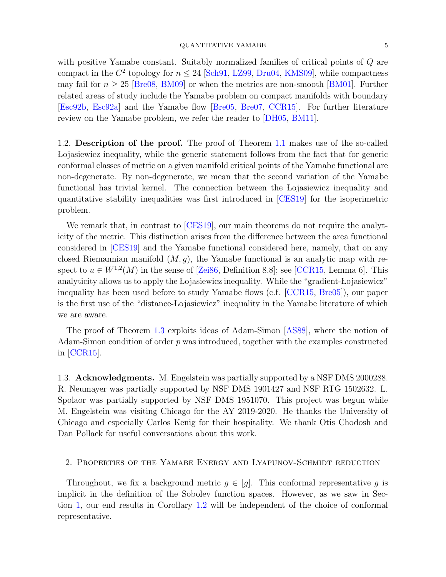#### QUANTITATIVE YAMABE 5

with positive Yamabe constant. Suitably normalized families of critical points of  $Q$  are compact in the  $C^2$  topology for  $n \leq 24$  [\[Sch91,](#page-21-5) [LZ99,](#page-20-16) [Dru04,](#page-20-17) [KMS09\]](#page-20-18), while compactness may fail for  $n > 25$  [\[Bre08,](#page-19-9) [BM09\]](#page-19-10) or when the metrics are non-smooth [\[BM01\]](#page-19-11). Further related areas of study include the Yamabe problem on compact manifolds with boundary [\[Esc92b,](#page-20-19) [Esc92a\]](#page-20-20) and the Yamabe flow [\[Bre05,](#page-19-12) [Bre07,](#page-19-13) [CCR15\]](#page-19-4). For further literature review on the Yamabe problem, we refer the reader to [\[DH05,](#page-20-21) [BM11\]](#page-19-14).

1.2. Description of the proof. The proof of Theorem [1.1](#page-1-2) makes use of the so-called Lojasiewicz inequality, while the generic statement follows from the fact that for generic conformal classes of metric on a given manifold critical points of the Yamabe functional are non-degenerate. By non-degenerate, we mean that the second variation of the Yamabe functional has trivial kernel. The connection between the Lojasiewicz inequality and quantitative stability inequalities was first introduced in [\[CES19\]](#page-19-5) for the isoperimetric problem.

We remark that, in contrast to [\[CES19\]](#page-19-5), our main theorems do not require the analyticity of the metric. This distinction arises from the difference between the area functional considered in [\[CES19\]](#page-19-5) and the Yamabe functional considered here, namely, that on any closed Riemannian manifold  $(M, g)$ , the Yamabe functional is an analytic map with respect to  $u \in W^{1,2}(M)$  in the sense of [\[Zei86,](#page-21-9) Definition 8.8]; see [\[CCR15,](#page-19-4) Lemma 6]. This analyticity allows us to apply the Lojasiewicz inequality. While the "gradient-Lojasiewicz" inequality has been used before to study Yamabe flows (c.f. [\[CCR15,](#page-19-4) [Bre05\]](#page-19-12)), our paper is the first use of the "distance-Lojasiewicz" inequality in the Yamabe literature of which we are aware.

The proof of Theorem [1.3](#page-2-1) exploits ideas of Adam-Simon [\[AS88\]](#page-19-15), where the notion of Adam-Simon condition of order  $p$  was introduced, together with the examples constructed in [\[CCR15\]](#page-19-4).

1.3. **Acknowledgments.** M. Engelstein was partially supported by a NSF DMS 2000288. R. Neumayer was partially supported by NSF DMS 1901427 and NSF RTG 1502632. L. Spolaor was partially supported by NSF DMS 1951070. This project was begun while M. Engelstein was visiting Chicago for the AY 2019-2020. He thanks the University of Chicago and especially Carlos Kenig for their hospitality. We thank Otis Chodosh and Dan Pollack for useful conversations about this work.

# 2. Properties of the Yamabe Energy and Lyapunov-Schmidt reduction

Throughout, we fix a background metric  $g \in [g]$ . This conformal representative g is implicit in the definition of the Sobolev function spaces. However, as we saw in Section [1,](#page-0-1) our end results in Corollary [1.2](#page-2-0) will be independent of the choice of conformal representative.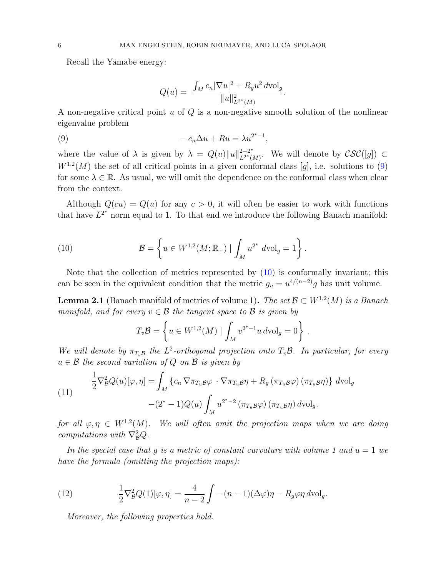Recall the Yamabe energy:

<span id="page-5-0"></span>
$$
Q(u) = \frac{\int_M c_n |\nabla u|^2 + R_g u^2 d\text{vol}_g}{\|u\|_{L^{2^*}(M)}^2}
$$

.

A non-negative critical point  $u$  of  $Q$  is a non-negative smooth solution of the nonlinear eigenvalue problem

(9) 
$$
-c_n \Delta u + Ru = \lambda u^{2^*-1},
$$

where the value of  $\lambda$  is given by  $\lambda = Q(u) ||u||_{L^{2-\lambda^*}}^{2-2^*}$  $\mathcal{L}^{2-2^*}$  We will denote by  $\mathcal{CSC}([g]) \subset$  $W^{1,2}(M)$  the set of all critical points in a given conformal class [g], i.e. solutions to [\(9\)](#page-5-0) for some  $\lambda \in \mathbb{R}$ . As usual, we will omit the dependence on the conformal class when clear from the context.

Although  $Q(cu) = Q(u)$  for any  $c > 0$ , it will often be easier to work with functions that have  $L^{2^*}$  norm equal to 1. To that end we introduce the following Banach manifold:

<span id="page-5-1"></span>(10) 
$$
\mathcal{B} = \left\{ u \in W^{1,2}(M; \mathbb{R}_+) \mid \int_M u^{2^*} \, d\text{vol}_g = 1 \right\}.
$$

Note that the collection of metrics represented by [\(10\)](#page-5-1) is conformally invariant; this can be seen in the equivalent condition that the metric  $g_u = u^{4/(n-2)}g$  has unit volume.

<span id="page-5-4"></span>**Lemma 2.1** (Banach manifold of metrics of volume 1). The set  $\mathcal{B} \subset W^{1,2}(M)$  is a Banach manifold, and for every  $v \in \mathcal{B}$  the tangent space to  $\mathcal{B}$  is given by

$$
T_v \mathcal{B} = \left\{ u \in W^{1,2}(M) \mid \int_M v^{2^*-1} u \, d\text{vol}_g = 0 \right\}.
$$

We will denote by  $\pi_{T_v\mathcal{B}}$  the  $L^2$ -orthogonal projection onto  $T_v\mathcal{B}$ . In particular, for every  $u \in \mathcal{B}$  the second variation of Q on  $\mathcal{B}$  is given by

<span id="page-5-2"></span>(11) 
$$
\frac{1}{2} \nabla_{\mathcal{B}}^2 Q(u)[\varphi, \eta] = \int_M \left\{ c_n \nabla \pi_{T_u \mathcal{B}} \varphi \cdot \nabla \pi_{T_u \mathcal{B}} \eta + R_g \left( \pi_{T_u \mathcal{B}} \varphi \right) \left( \pi_{T_u \mathcal{B}} \eta \right) \right\} d\text{vol}_g
$$

$$
-(2^* - 1) Q(u) \int_M u^{2^* - 2} \left( \pi_{T_u \mathcal{B}} \varphi \right) \left( \pi_{T_u \mathcal{B}} \eta \right) d\text{vol}_g.
$$

for all  $\varphi, \eta \in W^{1,2}(M)$ . We will often omit the projection maps when we are doing computations with  $\nabla_{\mathcal{B}}^2 Q$ .

In the special case that g is a metric of constant curvature with volume 1 and  $u = 1$  we have the formula (omitting the projection maps):

(12) 
$$
\frac{1}{2}\nabla_B^2 Q(1)[\varphi,\eta] = \frac{4}{n-2}\int -(n-1)(\Delta\varphi)\eta - R_g\varphi\eta \,d\mathrm{vol}_g.
$$

<span id="page-5-3"></span>Moreover, the following properties hold.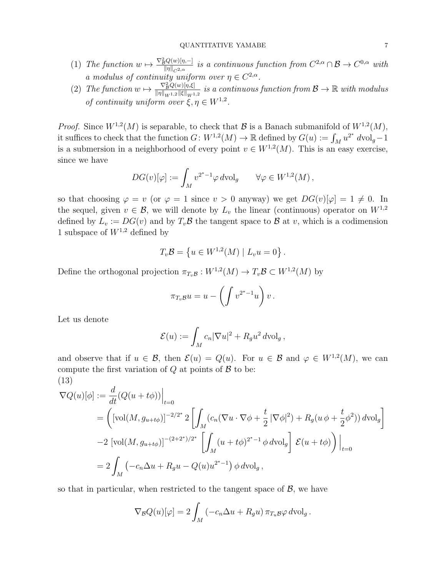- (1) The function  $w \mapsto \frac{\nabla^2_{\mathcal{B}}Q(w)[\eta,-]}{\|w\|_{\mathcal{B}}}$  $\frac{d_H(w)}{w\|v\|_{C^{2,\alpha}}}$  is a continuous function from  $C^{2,\alpha}\cap\mathcal{B}\to C^{0,\alpha}$  with a modulus of continuity uniform over  $\eta \in C^{2,\alpha}$ .
- (2) The function  $w \mapsto \frac{\nabla_B^2 Q(w)[\eta,\xi]}{\|w\|_{\mathcal{L}^2} \|f\|_{\mathcal{L}^2}}$  $\frac{\nabla^2_{\mathcal{B}}Q(w)|\eta,\xi|}{\|\eta\|_{W^{1,2}}\|\xi\|_{W^{1,2}}}$  is a continuous function from  $\mathcal{B} \to \mathbb{R}$  with modulus of continuity uniform over  $\xi, \eta \in W^{1,2}$ .

*Proof.* Since  $W^{1,2}(M)$  is separable, to check that  $\mathcal{B}$  is a Banach submanifold of  $W^{1,2}(M)$ , it suffices to check that the function  $G \colon W^{1,2}(M) \to \mathbb{R}$  defined by  $G(u) := \int_M u^{2^*} dvol_g - 1$ is a submersion in a neighborhood of every point  $v \in W^{1,2}(M)$ . This is an easy exercise, since we have

$$
DG(v)[\varphi] := \int_M v^{2^*-1} \varphi \, d\mathrm{vol}_g \qquad \forall \varphi \in W^{1,2}(M) \, ,
$$

so that choosing  $\varphi = v$  (or  $\varphi = 1$  since  $v > 0$  anyway) we get  $DG(v)[\varphi] = 1 \neq 0$ . In the sequel, given  $v \in \mathcal{B}$ , we will denote by  $L_v$  the linear (continuous) operator on  $W^{1,2}$ defined by  $L_v := DG(v)$  and by  $T_v\mathcal{B}$  the tangent space to  $\mathcal{B}$  at v, which is a codimension 1 subspace of  $W^{1,2}$  defined by

$$
T_v \mathcal{B} = \{ u \in W^{1,2}(M) \mid L_v u = 0 \}.
$$

Define the orthogonal projection  $\pi_{T_v\mathcal{B}} : W^{1,2}(M) \to T_v\mathcal{B} \subset W^{1,2}(M)$  by

$$
\pi_{T_v} \mathcal{B} u = u - \left( \int v^{2^* - 1} u \right) v.
$$

Let us denote

$$
\mathcal{E}(u) := \int_M c_n |\nabla u|^2 + R_g u^2 d\mathrm{vol}_g,
$$

and observe that if  $u \in \mathcal{B}$ , then  $\mathcal{E}(u) = Q(u)$ . For  $u \in \mathcal{B}$  and  $\varphi \in W^{1,2}(M)$ , we can compute the first variation of  $Q$  at points of  $B$  to be: (13)

<span id="page-6-0"></span>
$$
\nabla Q(u)[\phi] := \frac{d}{dt} (Q(u+t\phi)) \Big|_{t=0}
$$
  
=  $\left( [\text{vol}(M, g_{u+t\phi})]^{-2/2^*} 2 \left[ \int_M (c_n (\nabla u \cdot \nabla \phi + \frac{t}{2} |\nabla \phi|^2) + R_g (u \phi + \frac{t}{2} \phi^2)) d\text{vol}_g \right]$   
-2  $[\text{vol}(M, g_{u+t\phi})]^{-(2+2^*)/2^*} \left[ \int_M (u+t\phi)^{2^*-1} \phi d\text{vol}_g \right] \mathcal{E}(u+t\phi) \right) \Big|_{t=0}$   
=  $2 \int_M (-c_n \Delta u + R_g u - Q(u) u^{2^*-1}) \phi d\text{vol}_g,$ 

so that in particular, when restricted to the tangent space of  $\mathcal{B}$ , we have

$$
\nabla_{\mathcal{B}}Q(u)[\varphi] = 2\int_M \left(-c_n \Delta u + R_g u\right) \pi_{T_u \mathcal{B}}\varphi \,d\mathrm{vol}_g.
$$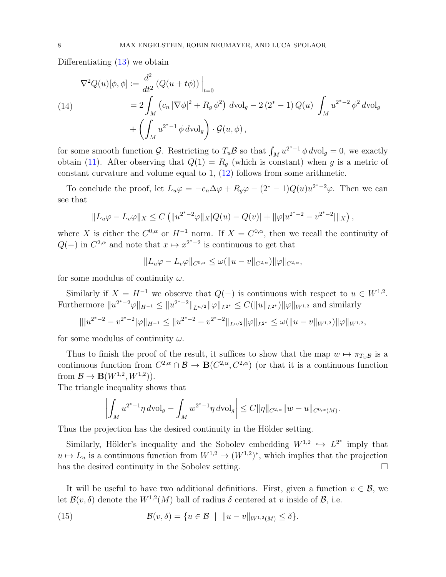Differentiating [\(13\)](#page-6-0) we obtain

(14)  
\n
$$
\nabla^2 Q(u)[\phi, \phi] := \frac{d^2}{dt^2} (Q(u + t\phi)) \Big|_{t=0}
$$
\n
$$
= 2 \int_M (c_n |\nabla \phi|^2 + R_g \phi^2) dvol_g - 2 (2^* - 1) Q(u) \int_M u^{2^* - 2} \phi^2 dvol_g
$$
\n
$$
+ \left( \int_M u^{2^* - 1} \phi dvol_g \right) \cdot \mathcal{G}(u, \phi),
$$

for some smooth function  $\mathcal{G}$ . Restricting to  $T_u\mathcal{B}$  so that  $\int_M u^{2^*-1} \phi d\text{vol}_g = 0$ , we exactly obtain [\(11\)](#page-5-2). After observing that  $Q(1) = R<sub>g</sub>$  (which is constant) when g is a metric of constant curvature and volume equal to 1, [\(12\)](#page-5-3) follows from some arithmetic.

To conclude the proof, let  $L_u\varphi = -c_n\Delta\varphi + R_g\varphi - (2^* - 1)Q(u)u^{2^*-2}\varphi$ . Then we can see that

$$
||L_u\varphi - L_v\varphi||_X \le C \left( ||u^{2^*-2}\varphi||_X|Q(u) - Q(v)| + ||\varphi|u^{2^*-2} - v^{2^*-2}||_X \right),
$$

where X is either the  $C^{0,\alpha}$  or  $H^{-1}$  norm. If  $X = C^{0,\alpha}$ , then we recall the continuity of  $Q(-)$  in  $C^{2,\alpha}$  and note that  $x \mapsto x^{2^*-2}$  is continuous to get that

$$
||L_u\varphi - L_v\varphi||_{C^{0,\alpha}} \leq \omega(||u - v||_{C^{2,\alpha}}) ||\varphi||_{C^{2,\alpha}},
$$

for some modulus of continuity  $\omega$ .

Similarly if  $X = H^{-1}$  we observe that  $Q(-)$  is continuous with respect to  $u \in W^{1,2}$ . Furthermore  $||u^{2^{*}-2}\varphi||_{H^{-1}} \leq ||u^{2^{*}-2}||_{L^{n/2}} ||\varphi||_{L^{2^{*}}} \leq C(||u||_{L^{2^{*}}}) ||\varphi||_{W^{1,2}}$  and similarly

$$
\| |u^{2^*-2} - v^{2^*-2}|\varphi\|_{H^{-1}} \leq \|u^{2^*-2} - v^{2^*-2}\|_{L^{n/2}} \|\varphi\|_{L^{2^*}} \leq \omega(\|u-v\|_{W^{1,2}}) \|\varphi\|_{W^{1,2}},
$$

for some modulus of continuity  $\omega$ .

Thus to finish the proof of the result, it suffices to show that the map  $w \mapsto \pi_{T_w\mathcal{B}}$  is a continuous function from  $C^{2,\alpha} \cap \mathcal{B} \to \mathbf{B}(C^{2,\alpha}, C^{2,\alpha})$  (or that it is a continuous function from  $\mathcal{B} \to \mathbf{B}(W^{1,2}, W^{1,2})$ .

The triangle inequality shows that

$$
\left| \int_M u^{2^*-1} \eta \, d\mathrm{vol}_g - \int_M w^{2^*-1} \eta \, d\mathrm{vol}_g \right| \leq C ||\eta||_{C^{2,\alpha}} ||w - u||_{C^{0,\alpha}(M)}.
$$

Thus the projection has the desired continuity in the Hölder setting.

Similarly, Hölder's inequality and the Sobolev embedding  $W^{1,2} \hookrightarrow L^{2^*}$  imply that  $u \mapsto L_u$  is a continuous function from  $W^{1,2} \to (W^{1,2})^*$ , which implies that the projection has the desired continuity in the Sobolev setting.

It will be useful to have two additional definitions. First, given a function  $v \in \mathcal{B}$ , we let  $\mathcal{B}(v,\delta)$  denote the  $W^{1,2}(M)$  ball of radius  $\delta$  centered at v inside of  $\mathcal{B}$ , i.e.

(15) 
$$
\mathcal{B}(v,\delta) = \{u \in \mathcal{B} \mid ||u - v||_{W^{1,2}(M)} \leq \delta\}.
$$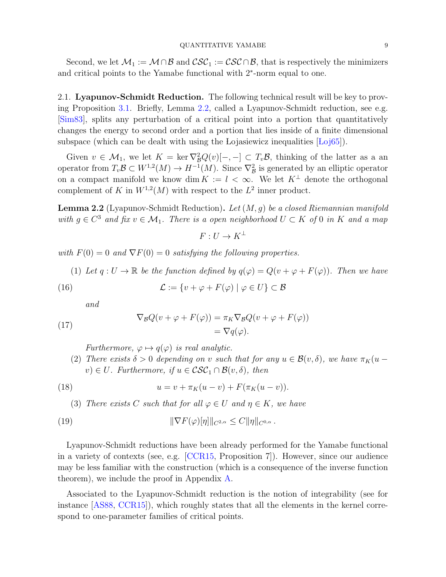#### QUANTITATIVE YAMABE 9

Second, we let  $\mathcal{M}_1 := \mathcal{M} \cap \mathcal{B}$  and  $\mathcal{CSC}_1 := \mathcal{CSC} \cap \mathcal{B}$ , that is respectively the minimizers and critical points to the Yamabe functional with 2<sup>∗</sup> -norm equal to one.

2.1. Lyapunov-Schmidt Reduction. The following technical result will be key to proving Proposition [3.1.](#page-10-0) Briefly, Lemma [2.2,](#page-8-0) called a Lyapunov-Schmidt reduction, see e.g. [\[Sim83\]](#page-21-10), splits any perturbation of a critical point into a portion that quantitatively changes the energy to second order and a portion that lies inside of a finite dimensional subspace (which can be dealt with using the Lojasiewicz inequalities  $\text{Loj65}$ ).

Given  $v \in \mathcal{M}_1$ , we let  $K = \ker \nabla_B^2 Q(v)[-,-] \subset T_v \mathcal{B}$ , thinking of the latter as a an operator from  $T_v \mathcal{B} \subset W^{1,2}(M) \to H^{-1}(M)$ . Since  $\nabla^2_{\mathcal{B}}$  is generated by an elliptic operator on a compact manifold we know dim  $K := l < \infty$ . We let  $K^{\perp}$  denote the orthogonal complement of K in  $W^{1,2}(M)$  with respect to the  $L^2$  inner product.

<span id="page-8-0"></span>**Lemma 2.2** (Lyapunov-Schmidt Reduction). Let  $(M, g)$  be a closed Riemannian manifold with  $g \in C^3$  and fix  $v \in \mathcal{M}_1$ . There is a open neighborhood  $U \subset K$  of 0 in K and a map

<span id="page-8-6"></span> $F: U \to K^{\perp}$ 

with  $F(0) = 0$  and  $\nabla F(0) = 0$  satisfying the following properties.

<span id="page-8-1"></span>(1) Let  $q: U \to \mathbb{R}$  be the function defined by  $q(\varphi) = Q(v + \varphi + F(\varphi))$ . Then we have

(16) 
$$
\mathcal{L} := \{v + \varphi + F(\varphi) \mid \varphi \in U\} \subset \mathcal{B}
$$

and

<span id="page-8-3"></span>(17) 
$$
\nabla_{\mathcal{B}}Q(v + \varphi + F(\varphi)) = \pi_K \nabla_{\mathcal{B}}Q(v + \varphi + F(\varphi)) \n= \nabla q(\varphi).
$$

<span id="page-8-2"></span>Furthermore,  $\varphi \mapsto q(\varphi)$  is real analytic.

<span id="page-8-4"></span>(2) There exists  $\delta > 0$  depending on v such that for any  $u \in \mathcal{B}(v, \delta)$ , we have  $\pi_K(u - \delta)$  $v) \in U$ . Furthermore, if  $u \in \mathcal{CSC}_1 \cap \mathcal{B}(v, \delta)$ , then

(18) 
$$
u = v + \pi_K(u - v) + F(\pi_K(u - v)).
$$

<span id="page-8-5"></span>(3) There exists C such that for all  $\varphi \in U$  and  $\eta \in K$ , we have

<span id="page-8-7"></span>(19) 
$$
\|\nabla F(\varphi)[\eta]\|_{C^{2,\alpha}} \leq C \|\eta\|_{C^{0,\alpha}}.
$$

Lyapunov-Schmidt reductions have been already performed for the Yamabe functional in a variety of contexts (see, e.g. [\[CCR15,](#page-19-4) Proposition 7]). However, since our audience may be less familiar with the construction (which is a consequence of the inverse function theorem), we include the proof in Appendix [A.](#page-16-0)

Associated to the Lyapunov-Schmidt reduction is the notion of integrability (see for instance [\[AS88,](#page-19-15) [CCR15\]](#page-19-4)), which roughly states that all the elements in the kernel correspond to one-parameter families of critical points.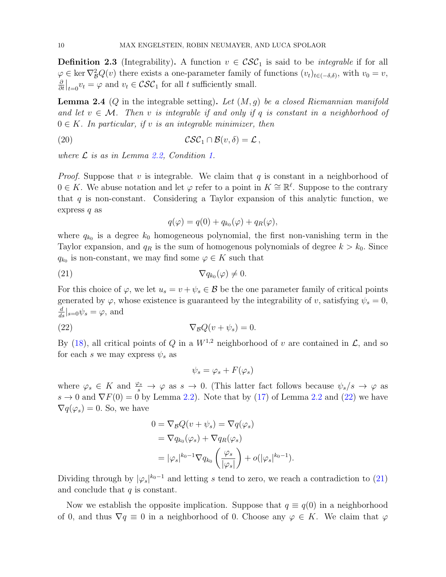**Definition 2.3** (Integrability). A function  $v \in \mathcal{CSC}_1$  is said to be *integrable* if for all  $\varphi \in \ker \nabla^2_{\mathcal{B}} Q(v)$  there exists a one-parameter family of functions  $(v_t)_{t \in (-\delta,\delta)}$ , with  $v_0 = v$ , ∂  $\frac{\partial}{\partial t}\Big|_{t=0}v_t=\varphi$  and  $v_t \in \mathcal{CSC}_1$  for all t sufficiently small.

<span id="page-9-3"></span>**Lemma 2.4** (Q in the integrable setting). Let  $(M, g)$  be a closed Riemannian manifold and let  $v \in \mathcal{M}$ . Then v is integrable if and only if q is constant in a neighborhood of  $0 \in K$ . In particular, if v is an integrable minimizer, then

(20) 
$$
\mathcal{CSC}_1 \cap \mathcal{B}(v,\delta) = \mathcal{L},
$$

where  $\mathcal L$  is as in Lemma [2.2,](#page-8-0) Condition [1.](#page-8-1)

*Proof.* Suppose that v is integrable. We claim that  $q$  is constant in a neighborhood of 0 ∈ K. We abuse notation and let  $\varphi$  refer to a point in  $K \cong \mathbb{R}^{\ell}$ . Suppose to the contrary that  $q$  is non-constant. Considering a Taylor expansion of this analytic function, we express  $q$  as

<span id="page-9-2"></span><span id="page-9-1"></span>
$$
q(\varphi) = q(0) + q_{k_0}(\varphi) + q_R(\varphi),
$$

where  $q_{k_0}$  is a degree  $k_0$  homogeneous polynomial, the first non-vanishing term in the Taylor expansion, and  $q_R$  is the sum of homogenous polynomials of degree  $k > k_0$ . Since  $q_{k_0}$  is non-constant, we may find some  $\varphi \in K$  such that

$$
\nabla q_{k_0}(\varphi) \neq 0.
$$

For this choice of  $\varphi$ , we let  $u_s = v + \psi_s \in \mathcal{B}$  be the one parameter family of critical points generated by  $\varphi$ , whose existence is guaranteed by the integrability of v, satisfying  $\psi_s = 0$ ,  $\frac{d}{ds}|_{s=0}\psi_s=\varphi$ , and

(22) 
$$
\nabla_{\mathcal{B}}Q(v+\psi_s)=0.
$$

By [\(18\)](#page-8-2), all critical points of Q in a  $W^{1,2}$  neighborhood of v are contained in  $\mathcal{L}$ , and so for each s we may express  $\psi_s$  as

<span id="page-9-0"></span>
$$
\psi_s = \varphi_s + F(\varphi_s)
$$

where  $\varphi_s \in K$  and  $\frac{\varphi_s}{s} \to \varphi$  as  $s \to 0$ . (This latter fact follows because  $\psi_s/s \to \varphi$  as  $s \to 0$  and  $\nabla F(0) = 0$  by Lemma [2.2\)](#page-8-0). Note that by [\(17\)](#page-8-3) of Lemma [2.2](#page-8-0) and [\(22\)](#page-9-0) we have  $\nabla q(\varphi_s) = 0$ . So, we have

$$
0 = \nabla_{\mathcal{B}} Q(v + \psi_s) = \nabla q(\varphi_s)
$$
  
=  $\nabla q_{k_0}(\varphi_s) + \nabla q_R(\varphi_s)$   
=  $|\varphi_s|^{k_0 - 1} \nabla q_{k_0} \left(\frac{\varphi_s}{|\varphi_s|}\right) + o(|\varphi_s|^{k_0 - 1}).$ 

Dividing through by  $|\varphi_s|^{k_0-1}$  and letting s tend to zero, we reach a contradiction to [\(21\)](#page-9-1) and conclude that  $q$  is constant.

Now we establish the opposite implication. Suppose that  $q \equiv q(0)$  in a neighborhood of 0, and thus  $\nabla q \equiv 0$  in a neighborhood of 0. Choose any  $\varphi \in K$ . We claim that  $\varphi$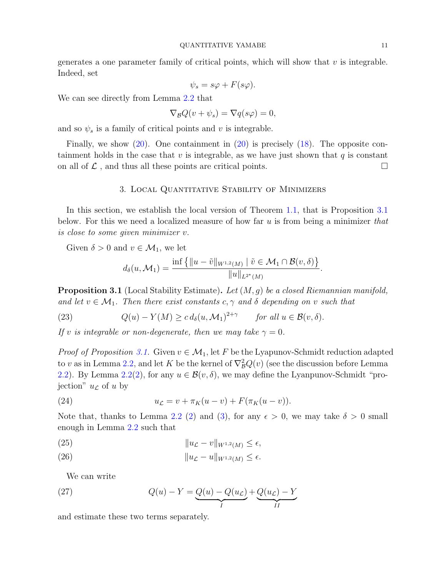generates a one parameter family of critical points, which will show that  $v$  is integrable. Indeed, set

$$
\psi_s = s\varphi + F(s\varphi).
$$

We can see directly from Lemma [2.2](#page-8-0) that

$$
\nabla_{\mathcal{B}} Q(v + \psi_s) = \nabla q(s\varphi) = 0,
$$

and so  $\psi_s$  is a family of critical points and v is integrable.

Finally, we show [\(20\)](#page-9-2). One containment in [\(20\)](#page-9-2) is precisely [\(18\)](#page-8-2). The opposite containment holds in the case that  $v$  is integrable, as we have just shown that  $q$  is constant on all of  $\mathcal L$ , and thus all these points are critical points.

### 3. Local Quantitative Stability of Minimizers

In this section, we establish the local version of Theorem [1.1,](#page-1-2) that is Proposition [3.1](#page-10-0) below. For this we need a localized measure of how far  $u$  is from being a minimizer that is close to some given minimizer v.

Given  $\delta > 0$  and  $v \in \mathcal{M}_1$ , we let

$$
d_{\delta}(u, \mathcal{M}_1) = \frac{\inf \{ ||u - \tilde{v}||_{W^{1,2}(M)} \mid \tilde{v} \in \mathcal{M}_1 \cap \mathcal{B}(v, \delta) \}}{||u||_{L^{2^*}(M)}}.
$$

<span id="page-10-0"></span>**Proposition 3.1** (Local Stability Estimate). Let  $(M, g)$  be a closed Riemannian manifold, and let  $v \in \mathcal{M}_1$ . Then there exist constants  $c, \gamma$  and  $\delta$  depending on v such that

(23) 
$$
Q(u) - Y(M) \geq c d_{\delta}(u, \mathcal{M}_1)^{2+\gamma} \quad \text{for all } u \in \mathcal{B}(v, \delta).
$$

If v is integrable or non-degenerate, then we may take  $\gamma = 0$ .

*Proof of Proposition [3.1.](#page-10-0)* Given  $v \in M_1$ , let F be the Lyapunov-Schmidt reduction adapted to v as in Lemma [2.2,](#page-8-0) and let K be the kernel of  $\nabla^2_{\mathcal{B}}Q(v)$  (see the discussion before Lemma [2.2\)](#page-8-0). By Lemma [2.2](#page-8-0)[\(2\)](#page-8-4), for any  $u \in \mathcal{B}(v, \delta)$ , we may define the Lyanpunov-Schmidt "projection"  $u_{\mathcal{L}}$  of u by

(24) 
$$
u_{\mathcal{L}} = v + \pi_K(u - v) + F(\pi_K(u - v)).
$$

Note that, thanks to Lemma [2.2](#page-8-0) [\(2\)](#page-8-4) and [\(3\)](#page-8-5), for any  $\epsilon > 0$ , we may take  $\delta > 0$  small enough in Lemma [2.2](#page-8-0) such that

<span id="page-10-1"></span>ku<sup>L</sup> − vkW1,<sup>2</sup> (25) (M) ≤ ,

ku<sup>L</sup> − ukW1,<sup>2</sup> (26) (M) ≤ .

We can write

(27) 
$$
Q(u) - Y = Q(u) - Q(uL) + Q(uL) - Y
$$

and estimate these two terms separately.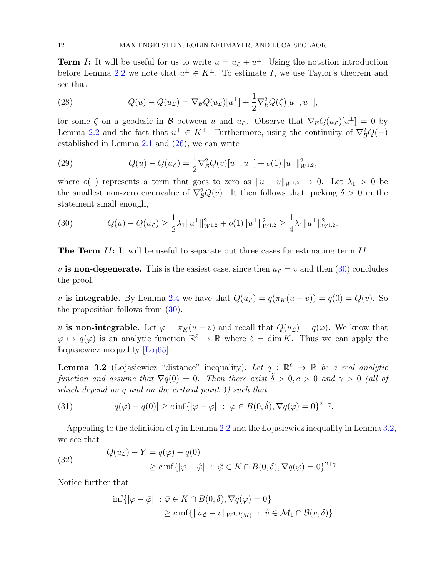**Term** I: It will be useful for us to write  $u = u_{\mathcal{L}} + u^{\perp}$ . Using the notation introduction before Lemma [2.2](#page-8-0) we note that  $u^{\perp} \in K^{\perp}$ . To estimate I, we use Taylor's theorem and see that

(28) 
$$
Q(u) - Q(u_{\mathcal{L}}) = \nabla_{\mathcal{B}} Q(u_{\mathcal{L}})[u^{\perp}] + \frac{1}{2} \nabla_{\mathcal{B}}^2 Q(\zeta)[u^{\perp}, u^{\perp}],
$$

for some  $\zeta$  on a geodesic in  $\mathcal B$  between u and  $u_{\mathcal L}$ . Observe that  $\nabla_{\mathcal B} Q(u_{\mathcal L})[u^{\perp}] = 0$  by Lemma [2.2](#page-8-0) and the fact that  $u^{\perp} \in K^{\perp}$ . Furthermore, using the continuity of  $\nabla^2_{\mathcal{B}}Q(-)$ established in Lemma [2.1](#page-5-4) and [\(26\)](#page-10-1), we can write

(29) 
$$
Q(u) - Q(u_{\mathcal{L}}) = \frac{1}{2} \nabla_{\mathcal{B}}^2 Q(v) [u^{\perp}, u^{\perp}] + o(1) ||u^{\perp}||_{W^{1,2}}^2,
$$

where  $o(1)$  represents a term that goes to zero as  $||u - v||_{W^{1,2}} \to 0$ . Let  $\lambda_1 > 0$  be the smallest non-zero eigenvalue of  $\nabla^2_{\mathcal{B}}Q(v)$ . It then follows that, picking  $\delta > 0$  in the statement small enough,

<span id="page-11-0"></span>(30) 
$$
Q(u) - Q(u_{\mathcal{L}}) \geq \frac{1}{2}\lambda_1 \|u^{\perp}\|_{W^{1,2}}^2 + o(1)\|u^{\perp}\|_{W^{1,2}}^2 \geq \frac{1}{4}\lambda_1 \|u^{\perp}\|_{W^{1,2}}^2.
$$

**The Term II:** It will be useful to separate out three cases for estimating term II.

v is non-degenerate. This is the easiest case, since then  $u_{\mathcal{L}} = v$  and then [\(30\)](#page-11-0) concludes the proof.

v is integrable. By Lemma [2.4](#page-9-3) we have that  $Q(u_{\mathcal{L}}) = q(\pi_K(u - v)) = q(0) = Q(v)$ . So the proposition follows from [\(30\)](#page-11-0).

v is non-integrable. Let  $\varphi = \pi_K(u - v)$  and recall that  $Q(u_{\mathcal{L}}) = q(\varphi)$ . We know that  $\varphi \mapsto q(\varphi)$  is an analytic function  $\mathbb{R}^{\ell} \to \mathbb{R}$  where  $\ell = \dim K$ . Thus we can apply the Lojasiewicz inequality  $\text{Loi65}$ :

<span id="page-11-1"></span>**Lemma 3.2** (Lojasiewicz "distance" inequality). Let  $q : \mathbb{R}^{\ell} \to \mathbb{R}$  be a real analytic function and assume that  $\nabla q(0) = 0$ . Then there exist  $\tilde{\delta} > 0, c > 0$  and  $\gamma > 0$  (all of which depend on q and on the critical point 0) such that

(31) 
$$
|q(\varphi) - q(0)| \geq c \inf\{|\varphi - \overline{\varphi}| \ : \ \overline{\varphi} \in B(0, \tilde{\delta}), \nabla q(\overline{\varphi}) = 0\}^{2+\gamma}.
$$

Appealing to the definition of  $q$  in Lemma [2.2](#page-8-0) and the Lojasiewicz inequality in Lemma [3.2,](#page-11-1) we see that

<span id="page-11-2"></span>(32) 
$$
Q(u_{\mathcal{L}}) - Y = q(\varphi) - q(0)
$$

$$
\geq c \inf \{ |\varphi - \hat{\varphi}| \ : \ \hat{\varphi} \in K \cap B(0, \delta), \nabla q(\varphi) = 0 \}^{2+\gamma}.
$$

Notice further that

$$
\inf \{ |\varphi - \bar{\varphi}| \ : \ \bar{\varphi} \in K \cap B(0, \delta), \nabla q(\varphi) = 0 \}
$$
  
 
$$
\geq c \inf \{ \| u_{\mathcal{L}} - \hat{v} \|_{W^{1,2}(M)} \ : \ \hat{v} \in \mathcal{M}_1 \cap \mathcal{B}(v, \delta) \}
$$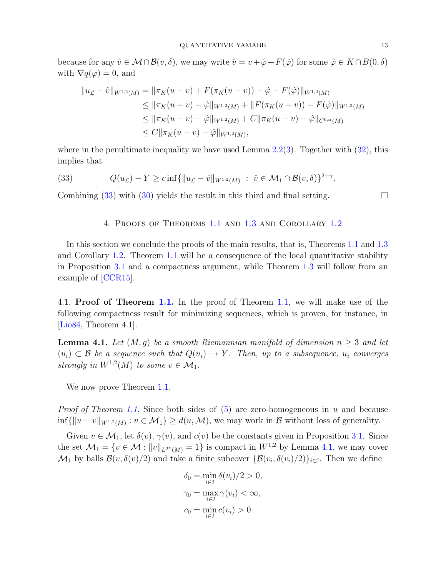because for any  $\hat{v} \in \mathcal{M} \cap \mathcal{B}(v, \delta)$ , we may write  $\hat{v} = v + \hat{\varphi} + F(\hat{\varphi})$  for some  $\hat{\varphi} \in K \cap B(0, \delta)$ with  $\nabla q(\varphi) = 0$ , and

$$
||u_{\mathcal{L}} - \hat{v}||_{W^{1,2}(M)} = ||\pi_K(u - v) + F(\pi_K(u - v)) - \hat{\varphi} - F(\hat{\varphi})||_{W^{1,2}(M)}
$$
  
\n
$$
\leq ||\pi_K(u - v) - \hat{\varphi}||_{W^{1,2}(M)} + ||F(\pi_K(u - v)) - F(\hat{\varphi})||_{W^{1,2}(M)}
$$
  
\n
$$
\leq ||\pi_K(u - v) - \hat{\varphi}||_{W^{1,2}(M)} + C||\pi_K(u - v) - \hat{\varphi}||_{C^{0,\alpha}(M)}
$$
  
\n
$$
\leq C||\pi_K(u - v) - \hat{\varphi}||_{W^{1,2}(M)},
$$

where in the penultimate inequality we have used Lemma  $2.2(3)$  $2.2(3)$ . Together with  $(32)$ , this implies that

(33) 
$$
Q(u_{\mathcal{L}}) - Y \geq c \inf \{ ||u_{\mathcal{L}} - \hat{v}||_{W^{1,2}(M)} : \hat{v} \in \mathcal{M}_1 \cap \mathcal{B}(v,\delta) \}^{2+\gamma}.
$$

Combining  $(33)$  with  $(30)$  yields the result in this third and final setting.

<span id="page-12-1"></span>4. Proofs of Theorems [1.1](#page-1-2) and [1.3](#page-2-1) and Corollary [1.2](#page-2-0)

In this section we conclude the proofs of the main results, that is, Theorems [1.1](#page-1-2) and [1.3](#page-2-1) and Corollary [1.2.](#page-2-0) Theorem [1.1](#page-1-2) will be a consequence of the local quantitative stability in Proposition [3.1](#page-10-0) and a compactness argument, while Theorem [1.3](#page-2-1) will follow from an example of [\[CCR15\]](#page-19-4).

4.1. Proof of Theorem [1.1.](#page-1-2) In the proof of Theorem [1.1,](#page-1-2) we will make use of the following compactness result for minimizing sequences, which is proven, for instance, in [\[Lio84,](#page-20-1) Theorem 4.1].

<span id="page-12-0"></span>**Lemma 4.1.** Let  $(M, g)$  be a smooth Riemannian manifold of dimension  $n \geq 3$  and let  $(u_i) \subset \mathcal{B}$  be a sequence such that  $Q(u_i) \to Y$ . Then, up to a subsequence,  $u_i$  converges strongly in  $W^{1,2}(M)$  to some  $v \in \mathcal{M}_1$ .

We now prove Theorem [1.1.](#page-1-2)

*Proof of Theorem [1.1.](#page-1-2)* Since both sides of  $(5)$  are zero-homogeneous in u and because  $\inf\{\|u-v\|_{W^{1,2}(M)} : v \in \mathcal{M}_1\} \ge d(u,\mathcal{M})$ , we may work in  $\mathcal B$  without loss of generality.

Given  $v \in \mathcal{M}_1$ , let  $\delta(v)$ ,  $\gamma(v)$ , and  $c(v)$  be the constants given in Proposition [3.1.](#page-10-0) Since the set  $\mathcal{M}_1 = \{v \in \mathcal{M} : ||v||_{L^{2^*}(M)} = 1\}$  is compact in  $W^{1,2}$  by Lemma [4.1,](#page-12-0) we may cover  $\mathcal{M}_1$  by balls  $\mathcal{B}(v,\delta(v)/2)$  and take a finite subcover  $\{\mathcal{B}(v_i,\delta(v_i)/2)\}_{i\in\mathcal{I}}$ . Then we define

$$
\delta_0 = \min_{i \in \mathcal{I}} \delta(v_i)/2 > 0,
$$
  

$$
\gamma_0 = \max_{i \in \mathcal{I}} \gamma(v_i) < \infty,
$$
  

$$
c_0 = \min_{i \in \mathcal{I}} c(v_i) > 0.
$$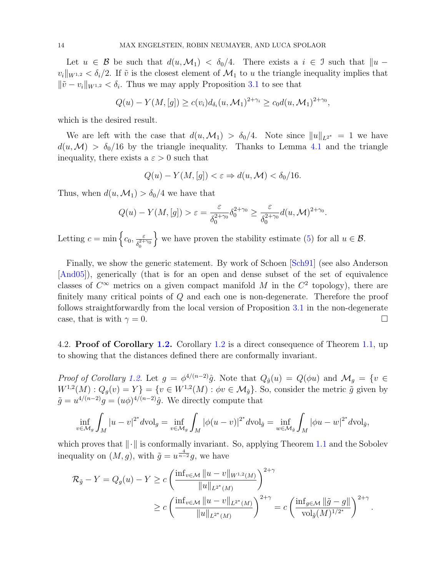Let  $u \in \mathcal{B}$  be such that  $d(u, \mathcal{M}_1) < \delta_0/4$ . There exists a  $i \in \mathcal{I}$  such that  $||u - \mathcal{I}||$  $v_i\|_{W^{1,2}} < \delta_i/2$ . If  $\tilde{v}$  is the closest element of  $\mathcal{M}_1$  to u the triangle inequality implies that  $\|\tilde{v} - v_i\|_{W^{1,2}} < \delta_i$ . Thus we may apply Proposition [3.1](#page-10-0) to see that

$$
Q(u) - Y(M, [g]) \ge c(v_i) d_{\delta_i}(u, \mathcal{M}_1)^{2+\gamma_i} \ge c_0 d(u, \mathcal{M}_1)^{2+\gamma_0},
$$

which is the desired result.

We are left with the case that  $d(u, \mathcal{M}_1) > \delta_0/4$ . Note since  $||u||_{L^{2^*}} = 1$  we have  $d(u, \mathcal{M}) > \delta_0/16$  by the triangle inequality. Thanks to Lemma [4.1](#page-12-0) and the triangle inequality, there exists a  $\varepsilon > 0$  such that

$$
Q(u) - Y(M, [g]) < \varepsilon \Rightarrow d(u, \mathcal{M}) < \delta_0/16.
$$

Thus, when  $d(u, \mathcal{M}_1) > \delta_0/4$  we have that

$$
Q(u) - Y(M, [g]) > \varepsilon = \frac{\varepsilon}{\delta_0^{2+\gamma_0}} \delta_0^{2+\gamma_0} \ge \frac{\varepsilon}{\delta_0^{2+\gamma_0}} d(u, \mathcal{M})^{2+\gamma_0}.
$$

Letting  $c = \min \left\{ c_0, \frac{\varepsilon}{s^{2+1}} \right\}$  $\overline{\delta_0^{2+\gamma_0}}$ we have proven the stability estimate [\(5\)](#page-1-3) for all  $u \in \mathcal{B}$ .

Finally, we show the generic statement. By work of Schoen [\[Sch91\]](#page-21-5) (see also Anderson [\[And05\]](#page-19-8)), generically (that is for an open and dense subset of the set of equivalence classes of  $C^{\infty}$  metrics on a given compact manifold M in the  $C^2$  topology), there are finitely many critical points of Q and each one is non-degenerate. Therefore the proof follows straightforwardly from the local version of Proposition [3.1](#page-10-0) in the non-degenerate case, that is with  $\gamma = 0$ .

4.2. Proof of Corollary [1.2.](#page-2-0) Corollary [1.2](#page-2-0) is a direct consequence of Theorem [1.1,](#page-1-2) up to showing that the distances defined there are conformally invariant.

*Proof of Corollary [1.2.](#page-2-0)* Let  $g = \phi^{4/(n-2)}\hat{g}$ . Note that  $Q_{\hat{g}}(u) = Q(\phi u)$  and  $\mathcal{M}_g = \{v \in$  $W^{1,2}(M): Q_g(v) = Y$  =  $\{v \in W^{1,2}(M) : \phi v \in \mathcal{M}_{\hat{g}}\}$ . So, consider the metric  $\tilde{g}$  given by  $\tilde{g} = u^{4/(n-2)}g = (u\phi)^{4/(n-2)}\hat{g}$ . We directly compute that

$$
\inf_{v \in \mathcal{M}_g} \int_M |u - v|^{2^*} dv \, \mathrm{d}v \, \mathrm{d}v = \inf_{v \in \mathcal{M}_g} \int_M |\phi(u - v)|^{2^*} dv \, \mathrm{d}v \, \mathrm{d}\tilde{v} = \inf_{w \in \mathcal{M}_g} \int_M |\phi u - w|^{2^*} dv \, \mathrm{d}v \, \mathrm{d}v,
$$

which proves that  $\|\cdot\|$  is conformally invariant. So, applying Theorem [1.1](#page-1-2) and the Sobolev inequality on  $(M, g)$ , with  $\tilde{g} = u^{\frac{4}{n-2}}g$ , we have

$$
\mathcal{R}_{\tilde{g}} - Y = Q_g(u) - Y \ge c \left( \frac{\inf_{v \in \mathcal{M}} \|u - v\|_{W^{1,2}(M)}}{\|u\|_{L^{2^*}(M)}} \right)^{2+\gamma} \\
\ge c \left( \frac{\inf_{v \in \mathcal{M}} \|u - v\|_{L^{2^*}(M)}}{\|u\|_{L^{2^*}(M)}} \right)^{2+\gamma} = c \left( \frac{\inf_{g \in \mathcal{M}} \|\tilde{g} - g\|}{\text{vol}_{\tilde{g}}(M)^{1/2^*}} \right)^{2+\gamma}.
$$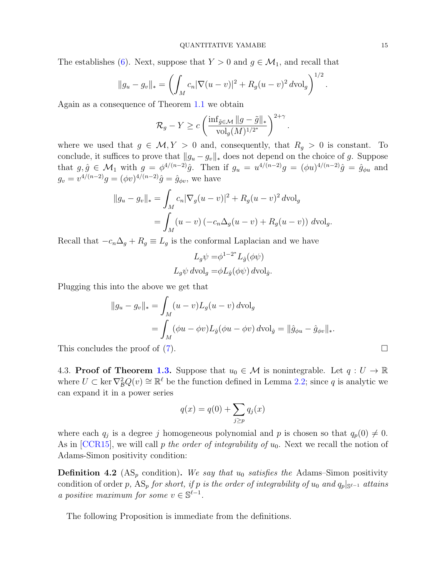The establishes [\(6\)](#page-2-2). Next, suppose that  $Y > 0$  and  $g \in \mathcal{M}_1$ , and recall that

$$
||g_u - g_v||_* = \left( \int_M c_n |\nabla(u - v)|^2 + R_g (u - v)^2 dv \mathrm{d}v \mathrm{d}v \right)^{1/2}.
$$

Again as a consequence of Theorem [1.1](#page-1-2) we obtain

$$
\mathcal{R}_g-Y \geq c \left( \frac{\inf_{\tilde{g} \in \mathcal{M}} \|g-\tilde{g}\|_{*}}{\mathrm{vol}_g(M)^{1/2^*}} \right)^{2+\gamma}.
$$

where we used that  $g \in \mathcal{M}, Y > 0$  and, consequently, that  $R_g > 0$  is constant. To conclude, it suffices to prove that  $||g_u - g_v||_*$  does not depend on the choice of g. Suppose that  $g, \hat{g} \in \mathcal{M}_1$  with  $g = \phi^{4/(n-2)}\hat{g}$ . Then if  $g_u = u^{4/(n-2)}g = (\phi u)^{4/(n-2)}\hat{g} = \hat{g}_{\phi u}$  and  $g_v = v^{4/(n-2)}g = (\phi v)^{4/(n-2)}\hat{g} = \hat{g}_{\phi v}$ , we have

$$
||g_u - g_v||_* = \int_M c_n |\nabla_g (u - v)|^2 + R_g (u - v)^2 dv d\sigma
$$
  
= 
$$
\int_M (u - v) (-c_n \Delta_g (u - v) + R_g (u - v)) dv d\sigma.
$$

Recall that  $-c_n\Delta_g + R_g \equiv L_g$  is the conformal Laplacian and we have

$$
L_g \psi = \phi^{1-2^*} L_{\hat{g}}(\phi \psi)
$$
  

$$
L_g \psi \, d\text{vol}_g = \phi L_{\hat{g}}(\phi \psi) \, d\text{vol}_{\hat{g}}.
$$

Plugging this into the above we get that

$$
||g_u - g_v||_* = \int_M (u - v)L_g(u - v) dv \text{d}v
$$
  
= 
$$
\int_M (\phi u - \phi v)L_{\hat{g}}(\phi u - \phi v) dv \text{d}v
$$

$$
= ||\hat{g}_{\phi u} - \hat{g}_{\phi v}||_*.
$$

This concludes the proof of  $(7)$ .

4.3. Proof of Theorem [1.3.](#page-2-1) Suppose that  $u_0 \in \mathcal{M}$  is nonintegrable. Let  $q: U \to \mathbb{R}$ where  $U \subset \text{ker } \nabla_B^2 Q(v) \cong \mathbb{R}^{\ell}$  be the function defined in Lemma [2.2;](#page-8-0) since q is analytic we can expand it in a power series

$$
q(x) = q(0) + \sum_{j \ge p} q_j(x)
$$

where each  $q_j$  is a degree j homogeneous polynomial and p is chosen so that  $q_p(0) \neq 0$ . As in [\[CCR15\]](#page-19-4), we will call p the order of integrability of  $u_0$ . Next we recall the notion of Adams-Simon positivity condition:

<span id="page-14-0"></span>**Definition 4.2** (AS<sub>p</sub> condition). We say that  $u_0$  satisfies the Adams–Simon positivity condition of order p,  $AS_p$  for short, if p is the order of integrability of  $u_0$  and  $q_p|_{\mathbb{S}^{\ell-1}}$  attains a positive maximum for some  $v \in \mathbb{S}^{\ell-1}$ .

The following Proposition is immediate from the definitions.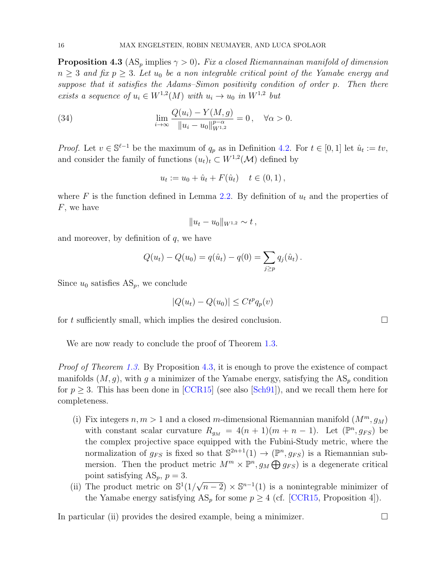<span id="page-15-0"></span>**Proposition 4.3** (AS<sub>p</sub> implies  $\gamma > 0$ ). Fix a closed Riemannainan manifold of dimension  $n \geq 3$  and fix  $p \geq 3$ . Let  $u_0$  be a non integrable critical point of the Yamabe energy and suppose that it satisfies the Adams–Simon positivity condition of order p. Then there exists a sequence of  $u_i \in W^{1,2}(M)$  with  $u_i \to u_0$  in  $W^{1,2}$  but

(34) 
$$
\lim_{i \to \infty} \frac{Q(u_i) - Y(M, g)}{\|u_i - u_0\|_{W^{1,2}}^{p-\alpha}} = 0, \quad \forall \alpha > 0.
$$

*Proof.* Let  $v \in \mathbb{S}^{\ell-1}$  be the maximum of  $q_p$  as in Definition [4.2.](#page-14-0) For  $t \in [0,1]$  let  $\hat{u}_t := tv$ , and consider the family of functions  $(u_t)_t \subset W^{1,2}(\mathcal{M})$  defined by

$$
u_t := u_0 + \hat{u}_t + F(\hat{u}_t) \quad t \in (0,1),
$$

where F is the function defined in Lemma [2.2.](#page-8-0) By definition of  $u_t$  and the properties of F, we have

$$
||u_t - u_0||_{W^{1,2}} \sim t,
$$

and moreover, by definition of  $q$ , we have

$$
Q(u_t) - Q(u_0) = q(\hat{u}_t) - q(0) = \sum_{j \ge p} q_j(\hat{u}_t).
$$

Since  $u_0$  satisfies  $AS_p$ , we conclude

$$
|Q(u_t) - Q(u_0)| \le Ct^p q_p(v)
$$

for t sufficiently small, which implies the desired conclusion.  $\Box$ 

We are now ready to conclude the proof of Theorem [1.3.](#page-2-1)

*Proof of Theorem [1.3.](#page-2-1)* By Proposition [4.3,](#page-15-0) it is enough to prove the existence of compact manifolds  $(M, g)$ , with g a minimizer of the Yamabe energy, satisfying the  $AS_p$  condition for  $p \geq 3$ . This has been done in [\[CCR15\]](#page-19-4) (see also [\[Sch91\]](#page-21-5)), and we recall them here for completeness.

- (i) Fix integers  $n, m > 1$  and a closed m-dimensional Riemannian manifold  $(M^m, g_M)$ with constant scalar curvature  $R_{g_M} = 4(n + 1)(m + n - 1)$ . Let  $(\mathbb{P}^n, g_{FS})$  be the complex projective space equipped with the Fubini-Study metric, where the normalization of  $g_{FS}$  is fixed so that  $\mathbb{S}^{2n+1}(1) \to (\mathbb{P}^n, g_{FS})$  is a Riemannian submersion. Then the product metric  $M^m \times \mathbb{P}^n$ ,  $g_M \bigoplus g_{FS}$  is a degenerate critical point satisfying  $AS_p$ ,  $p = 3$ .
- (ii) The product metric on  $\mathbb{S}^1(1)$  $\sqrt{n-2}$  ×  $\mathbb{S}^{n-1}(1)$  is a nonintegrable minimizer of the Yamabe energy satisfying  $AS_p$  for some  $p \geq 4$  (cf. [\[CCR15,](#page-19-4) Proposition 4]).

In particular (ii) provides the desired example, being a minimizer.  $\Box$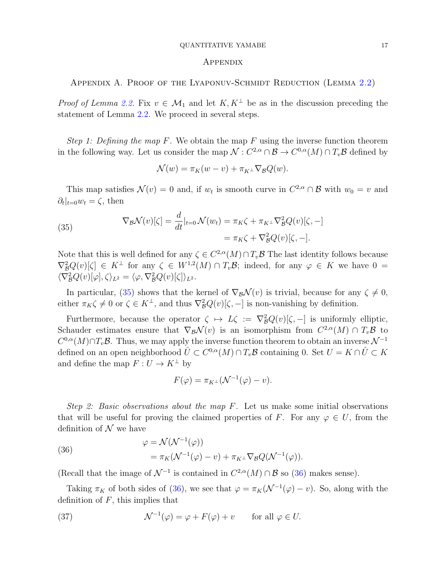#### QUANTITATIVE YAMABE 17

#### Appendix

<span id="page-16-0"></span>Appendix A. Proof of the Lyaponuv-Schmidt Reduction (Lemma [2.2\)](#page-8-0)

*Proof of Lemma [2.2.](#page-8-0)* Fix  $v \in \mathcal{M}_1$  and let  $K, K^{\perp}$  be as in the discussion preceding the statement of Lemma [2.2.](#page-8-0) We proceed in several steps.

Step 1: Defining the map F. We obtain the map F using the inverse function theorem in the following way. Let us consider the map  $\mathcal{N}: C^{2,\alpha}\cap\mathcal{B}\to C^{0,\alpha}(M)\cap T_v\mathcal{B}$  defined by

$$
\mathcal{N}(w) = \pi_K(w - v) + \pi_{K^{\perp}} \nabla_{\mathcal{B}} Q(w).
$$

This map satisfies  $\mathcal{N}(v) = 0$  and, if  $w_t$  is smooth curve in  $C^{2,\alpha} \cap \mathcal{B}$  with  $w_0 = v$  and  $\partial_t|_{t=0}w_t=\zeta$ , then

<span id="page-16-1"></span>(35) 
$$
\nabla_{\mathcal{B}}\mathcal{N}(v)[\zeta] = \frac{d}{dt}|_{t=0}\mathcal{N}(w_t) = \pi_K\zeta + \pi_{K^\perp}\nabla_{\mathcal{B}}^2Q(v)[\zeta, -] = \pi_K\zeta + \nabla_{\mathcal{B}}^2Q(v)[\zeta, -].
$$

Note that this is well defined for any  $\zeta \in C^{2,\alpha}(M) \cap T_v\mathcal{B}$  The last identity follows because  $\nabla^2_{\mathcal{B}}Q(v)[\zeta] \in K^{\perp}$  for any  $\zeta \in W^{1,2}(M) \cap T_v\mathcal{B}$ ; indeed, for any  $\varphi \in K$  we have  $0 =$  $\langle \nabla_B^2 Q(v)[\varphi], \zeta \rangle_{L^2} = \langle \varphi, \nabla_B^2 Q(v)[\zeta] \rangle_{L^2}.$ 

In particular, [\(35\)](#page-16-1) shows that the kernel of  $\nabla_B \mathcal{N}(v)$  is trivial, because for any  $\zeta \neq 0$ , either  $\pi_K \zeta \neq 0$  or  $\zeta \in K^{\perp}$ , and thus  $\nabla_B^2 Q(v)[\zeta, -]$  is non-vanishing by definition.

Furthermore, because the operator  $\zeta \mapsto L\zeta := \nabla^2_{\mathcal{B}}Q(v)[\zeta, -]$  is uniformly elliptic, Schauder estimates ensure that  $\nabla_{\mathcal{B}}\mathcal{N}(v)$  is an isomorphism from  $C^{2,\alpha}(M) \cap T_v\mathcal{B}$  to  $C^{0,\alpha}(M)\cap T_v\mathcal{B}$ . Thus, we may apply the inverse function theorem to obtain an inverse  $\mathcal{N}^{-1}$ defined on an open neighborhood  $\hat{U}\subset C^{0,\alpha}(M)\cap T_v\mathcal{B}$  containing 0. Set  $U=K\cap \hat{U}\subset K$ and define the map  $F: U \to K^{\perp}$  by

$$
F(\varphi) = \pi_{K^{\perp}}(\mathcal{N}^{-1}(\varphi) - v).
$$

Step 2: Basic observations about the map  $F$ . Let us make some initial observations that will be useful for proving the claimed properties of F. For any  $\varphi \in U$ , from the definition of  $\mathcal N$  we have

<span id="page-16-2"></span>(36)  
\n
$$
\varphi = \mathcal{N}(\mathcal{N}^{-1}(\varphi))
$$
\n
$$
= \pi_K(\mathcal{N}^{-1}(\varphi) - v) + \pi_{K^{\perp}} \nabla_{\mathcal{B}} Q(\mathcal{N}^{-1}(\varphi)).
$$

(Recall that the image of  $\mathcal{N}^{-1}$  is contained in  $C^{2,\alpha}(M) \cap \mathcal{B}$  so [\(36\)](#page-16-2) makes sense).

Taking  $\pi_K$  of both sides of [\(36\)](#page-16-2), we see that  $\varphi = \pi_K(\mathcal{N}^{-1}(\varphi) - v)$ . So, along with the definition of  $F$ , this implies that

<span id="page-16-3"></span>(37) 
$$
\mathcal{N}^{-1}(\varphi) = \varphi + F(\varphi) + v \quad \text{for all } \varphi \in U.
$$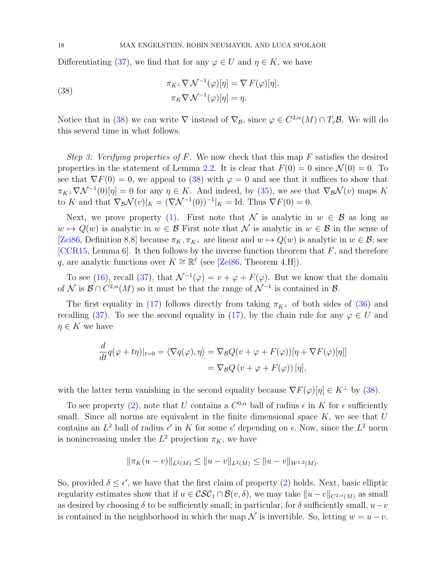Differentiating [\(37\)](#page-16-3), we find that for any  $\varphi \in U$  and  $\eta \in K$ , we have

<span id="page-17-0"></span>(38) 
$$
\pi_K \Gamma \nabla \mathcal{N}^{-1}(\varphi)[\eta] = \nabla F(\varphi)[\eta],
$$

$$
\pi_K \nabla \mathcal{N}^{-1}(\varphi)[\eta] = \eta.
$$

Notice that in [\(38\)](#page-17-0) we can write  $\nabla$  instead of  $\nabla_{\mathcal{B}}$ , since  $\varphi \in C^{2,\alpha}(M) \cap T_v\mathcal{B}$ . We will do this several time in what follows.

Step 3: Verifying properties of F. We now check that this map F satisfies the desired properties in the statement of Lemma [2.2.](#page-8-0) It is clear that  $F(0) = 0$  since  $\mathcal{N}(0) = 0$ . To see that  $\nabla F(0) = 0$ , we appeal to [\(38\)](#page-17-0) with  $\varphi = 0$  and see that it suffices to show that  $\pi_{K^{\perp}}\nabla \mathcal{N}^{-1}(0)[\eta] = 0$  for any  $\eta \in K$ . And indeed, by [\(35\)](#page-16-1), we see that  $\nabla_{\mathcal{B}}\mathcal{N}(v)$  maps K to K and that  $\nabla_{\mathcal{B}}\mathcal{N}(v)|_K = (\nabla \mathcal{N}^{-1}(0))^{-1}|_K = \text{Id}$ . Thus  $\nabla F(0) = 0$ .

Next, we prove property [\(1\)](#page-8-1). First note that N is analytic in  $w \in \mathcal{B}$  as long as  $w \mapsto Q(w)$  is analytic in  $w \in \mathcal{B}$  First note that N is analytic in  $w \in \mathcal{B}$  in the sense of [\[Zei86,](#page-21-9) Definition 8.8] because  $\pi_K, \pi_{K^{\perp}}$  are linear and  $w \mapsto Q(w)$  is analytic in  $w \in \mathcal{B}$ ; see [\[CCR15,](#page-19-4) Lemma 6]. It then follows by the inverse function theorem that  $F$ , and therefore q, are analytic functions over  $K \cong \mathbb{R}^{\ell}$  (see [\[Zei86,](#page-21-9) Theorem 4.H]).

To see [\(16\)](#page-8-6), recall [\(37\)](#page-16-3), that  $\mathcal{N}^{-1}(\varphi) = v + \varphi + F(\varphi)$ . But we know that the domain of N is  $\mathcal{B} \cap C^{2,\alpha}(M)$  so it must be that the range of  $\mathcal{N}^{-1}$  is contained in  $\mathcal{B}$ .

The first equality in [\(17\)](#page-8-3) follows directly from taking  $\pi_{K^{\perp}}$  of both sides of [\(36\)](#page-16-2) and recalling [\(37\)](#page-16-3). To see the second equality in [\(17\)](#page-8-3), by the chain rule for any  $\varphi \in U$  and  $\eta \in K$  we have

$$
\frac{d}{dt}q(\varphi + t\eta)|_{t=0} = \langle \nabla q(\varphi), \eta \rangle = \nabla_{\mathcal{B}}Q(v + \varphi + F(\varphi))[\eta + \nabla F(\varphi)[\eta]]
$$

$$
= \nabla_{\mathcal{B}}Q(v + \varphi + F(\varphi))[\eta],
$$

with the latter term vanishing in the second equality because  $\nabla F(\varphi)[\eta] \in K^{\perp}$  by [\(38\)](#page-17-0).

To see property [\(2\)](#page-8-4), note that U contains a  $C^{0,\alpha}$  ball of radius  $\epsilon$  in K for  $\epsilon$  sufficiently small. Since all norms are equivalent in the finite dimensional space  $K$ , we see that  $U$ contains an  $L^2$  ball of radius  $\epsilon'$  in K for some  $\epsilon'$  depending on  $\epsilon$ . Now, since the  $L^2$  norm is nonincreasing under the  $L^2$  projection  $\pi_K$ , we have

$$
\|\pi_K(u-v)\|_{L^2(M)} \le \|u-v\|_{L^2(M)} \le \|u-v\|_{W^{1,2}(M)}.
$$

So, provided  $\delta \leq \epsilon'$ , we have that the first claim of property [\(2\)](#page-8-4) holds. Next, basic elliptic regularity estimates show that if  $u \in \mathcal{CSC}_1 \cap \mathcal{B}(v, \delta)$ , we may take  $||u - v||_{C^{2,\alpha}(M)}$  as small as desired by choosing  $\delta$  to be sufficiently small; in particular, for  $\delta$  sufficiently small,  $u-v$ is contained in the neighborhood in which the map  $\mathcal N$  is invertible. So, letting  $w = u - v$ .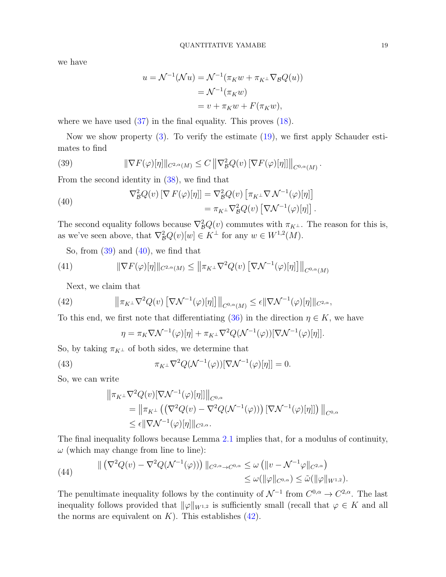we have

$$
u = \mathcal{N}^{-1}(\mathcal{N}u) = \mathcal{N}^{-1}(\pi_K w + \pi_{K^{\perp}} \nabla_{\mathcal{B}} Q(u))
$$
  
=  $\mathcal{N}^{-1}(\pi_K w)$   
=  $v + \pi_K w + F(\pi_K w)$ ,

where we have used  $(37)$  in the final equality. This proves  $(18)$ .

Now we show property [\(3\)](#page-8-5). To verify the estimate [\(19\)](#page-8-7), we first apply Schauder estimates to find

<span id="page-18-0"></span>(39) 
$$
\|\nabla F(\varphi)[\eta]\|_{C^{2,\alpha}(M)} \leq C \left\|\nabla_{\mathcal{B}}^2 Q(v)[\nabla F(\varphi)[\eta]]\right\|_{C^{0,\alpha}(M)}.
$$

From the second identity in [\(38\)](#page-17-0), we find that

<span id="page-18-1"></span>(40) 
$$
\nabla_{\mathcal{B}}^2 Q(v) \left[ \nabla F(\varphi)[\eta] \right] = \nabla_{\mathcal{B}}^2 Q(v) \left[ \pi_{K^{\perp}} \nabla \mathcal{N}^{-1}(\varphi)[\eta] \right] = \pi_{K^{\perp}} \nabla_{\mathcal{B}}^2 Q(v) \left[ \nabla \mathcal{N}^{-1}(\varphi)[\eta] \right].
$$

The second equality follows because  $\nabla^2_{\mathcal{B}}Q(v)$  commutes with  $\pi_{K^{\perp}}$ . The reason for this is, as we've seen above, that  $\nabla^2_{\mathcal{B}}Q(v)[w] \in K^{\perp}$  for any  $w \in W^{1,2}(M)$ .

<span id="page-18-3"></span>So, from  $(39)$  and  $(40)$ , we find that

(41) 
$$
\|\nabla F(\varphi)[\eta]\|_{C^{2,\alpha}(M)} \le \left\|\pi_{K^{\perp}}\nabla^2 Q(v)\left[\nabla \mathcal{N}^{-1}(\varphi)[\eta]\right]\right\|_{C^{0,\alpha}(M)}
$$

Next, we claim that

(42) 
$$
\left\|\pi_{K^{\perp}}\nabla^2 Q(v)\left[\nabla \mathcal{N}^{-1}(\varphi)[\eta]\right]\right\|_{C^{0,\alpha}(M)} \leq \epsilon \|\nabla \mathcal{N}^{-1}(\varphi)[\eta]\|_{C^{2,\alpha}},
$$

To this end, we first note that differentiating [\(36\)](#page-16-2) in the direction  $\eta \in K$ , we have

<span id="page-18-2"></span>
$$
\eta = \pi_K \nabla \mathcal{N}^{-1}(\varphi)[\eta] + \pi_{K^{\perp}} \nabla^2 Q(\mathcal{N}^{-1}(\varphi))[\nabla \mathcal{N}^{-1}(\varphi)[\eta]].
$$

So, by taking  $\pi_{K^{\perp}}$  of both sides, we determine that

(43) 
$$
\pi_{K^{\perp}} \nabla^2 Q(\mathcal{N}^{-1}(\varphi))[\nabla \mathcal{N}^{-1}(\varphi)[\eta]] = 0.
$$

So, we can write

$$
\|\pi_{K^{\perp}}\nabla^2 Q(v)[\nabla \mathcal{N}^{-1}(\varphi)[\eta]]\|_{C^{0,\alpha}}
$$
  
=\|\pi\_{K^{\perp}}((\nabla^2 Q(v)-\nabla^2 Q(\mathcal{N}^{-1}(\varphi)))[\nabla \mathcal{N}^{-1}(\varphi)[\eta]])\|\_{C^{0,\alpha}}  
\leq \epsilon \|\nabla \mathcal{N}^{-1}(\varphi)[\eta]\|\_{C^{2,\alpha}}.

The final inequality follows because Lemma [2.1](#page-5-4) implies that, for a modulus of continuity,  $\omega$  (which may change from line to line):

(44) 
$$
\| (\nabla^2 Q(v) - \nabla^2 Q(\mathcal{N}^{-1}(\varphi))) \|_{C^{2,\alpha} \to C^{0,\alpha}} \leq \omega (\|v - \mathcal{N}^{-1} \varphi\|_{C^{2,\alpha}})
$$

$$
\leq \omega (\|\varphi\|_{C^{0,\alpha}}) \leq \tilde{\omega}(\|\varphi\|_{W^{1,2}}).
$$

The penultimate inequality follows by the continuity of  $\mathcal{N}^{-1}$  from  $C^{0,\alpha} \to C^{2,\alpha}$ . The last inequality follows provided that  $\|\varphi\|_{W^{1,2}}$  is sufficiently small (recall that  $\varphi \in K$  and all the norms are equivalent on  $K$ ). This establishes [\(42\)](#page-18-2).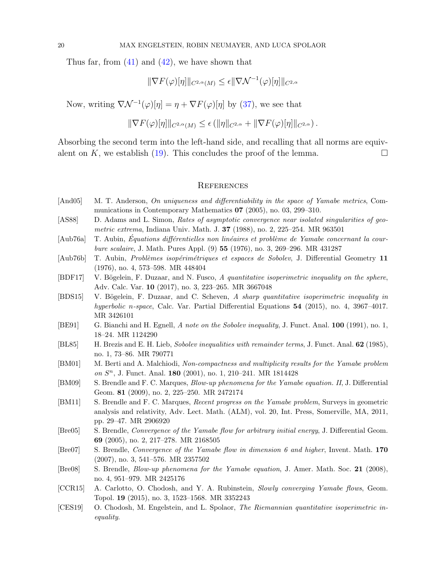Thus far, from  $(41)$  and  $(42)$ , we have shown that

$$
\|\nabla F(\varphi)[\eta]\|_{C^{2,\alpha}(M)} \leq \epsilon \|\nabla \mathcal{N}^{-1}(\varphi)[\eta]\|_{C^{2,\alpha}}
$$

Now, writing  $\nabla \mathcal{N}^{-1}(\varphi)[\eta] = \eta + \nabla F(\varphi)[\eta]$  by [\(37\)](#page-16-3), we see that

$$
\|\nabla F(\varphi)[\eta]\|_{C^{2,\alpha}(M)} \leq \epsilon (\|\eta\|_{C^{2,\alpha}} + \|\nabla F(\varphi)[\eta]\|_{C^{2,\alpha}}).
$$

Absorbing the second term into the left-hand side, and recalling that all norms are equiv-alent on K, we establish [\(19\)](#page-8-7). This concludes the proof of the lemma.

### **REFERENCES**

- <span id="page-19-8"></span>[And05] M. T. Anderson, On uniqueness and differentiability in the space of Yamabe metrics, Communications in Contemporary Mathematics 07 (2005), no. 03, 299–310.
- <span id="page-19-15"></span>[AS88] D. Adams and L. Simon, Rates of asymptotic convergence near isolated singularities of geometric extrema, Indiana Univ. Math. J. 37 (1988), no. 2, 225–254. MR 963501
- <span id="page-19-0"></span>[Aub76a] T. Aubin, Equations différentielles non linéaires et problème de Yamabe concernant la courbure scalaire, J. Math. Pures Appl. (9) 55 (1976), no. 3, 269–296. MR 431287
- <span id="page-19-1"></span>[Aub76b] T. Aubin, *Problèmes isopérimétriques et espaces de Sobolev*, J. Differential Geometry 11 (1976), no. 4, 573–598. MR 448404
- <span id="page-19-6"></span>[BDF17] V. Bögelein, F. Duzaar, and N. Fusco, A quantitative isoperimetric inequality on the sphere, Adv. Calc. Var. 10 (2017), no. 3, 223–265. MR 3667048
- <span id="page-19-7"></span>[BDS15] V. Bögelein, F. Duzaar, and C. Scheven, A sharp quantitative isoperimetric inequality in hyperbolic n-space, Calc. Var. Partial Differential Equations 54 (2015), no. 4, 3967–4017. MR 3426101
- <span id="page-19-3"></span>[BE91] G. Bianchi and H. Egnell, A note on the Sobolev inequality, J. Funct. Anal. 100 (1991), no. 1, 18–24. MR 1124290
- <span id="page-19-2"></span>[BL85] H. Brezis and E. H. Lieb, Sobolev inequalities with remainder terms, J. Funct. Anal. 62 (1985), no. 1, 73–86. MR 790771
- <span id="page-19-11"></span>[BM01] M. Berti and A. Malchiodi, Non-compactness and multiplicity results for the Yamabe problem on  $S<sup>n</sup>$ , J. Funct. Anal. **180** (2001), no. 1, 210–241. MR 1814428
- <span id="page-19-10"></span>[BM09] S. Brendle and F. C. Marques, Blow-up phenomena for the Yamabe equation. II, J. Differential Geom. 81 (2009), no. 2, 225–250. MR 2472174
- <span id="page-19-14"></span>[BM11] S. Brendle and F. C. Marques, Recent progress on the Yamabe problem, Surveys in geometric analysis and relativity, Adv. Lect. Math. (ALM), vol. 20, Int. Press, Somerville, MA, 2011, pp. 29–47. MR 2906920
- <span id="page-19-12"></span>[Bre05] S. Brendle, Convergence of the Yamabe flow for arbitrary initial energy, J. Differential Geom. 69 (2005), no. 2, 217–278. MR 2168505
- <span id="page-19-13"></span>[Bre07] S. Brendle, *Convergence of the Yamabe flow in dimension 6 and higher*, Invent. Math. 170 (2007), no. 3, 541–576. MR 2357502
- <span id="page-19-9"></span>[Bre08] S. Brendle, Blow-up phenomena for the Yamabe equation, J. Amer. Math. Soc. 21 (2008), no. 4, 951–979. MR 2425176
- <span id="page-19-4"></span>[CCR15] A. Carlotto, O. Chodosh, and Y. A. Rubinstein, Slowly converging Yamabe flows, Geom. Topol. 19 (2015), no. 3, 1523–1568. MR 3352243
- <span id="page-19-5"></span>[CES19] O. Chodosh, M. Engelstein, and L. Spolaor, The Riemannian quantitative isoperimetric inequality.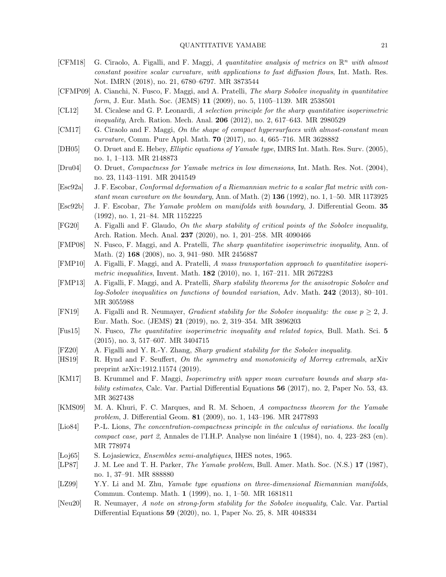- <span id="page-20-13"></span>[CFM18] G. Ciraolo, A. Figalli, and F. Maggi, A quantitative analysis of metrics on  $\mathbb{R}^n$  with almost constant positive scalar curvature, with applications to fast diffusion flows, Int. Math. Res. Not. IMRN (2018), no. 21, 6780–6797. MR 3873544
- <span id="page-20-5"></span>[CFMP09] A. Cianchi, N. Fusco, F. Maggi, and A. Pratelli, The sharp Sobolev inequality in quantitative form, J. Eur. Math. Soc. (JEMS) 11 (2009), no. 5, 1105–1139. MR 2538501
- <span id="page-20-4"></span>[CL12] M. Cicalese and G. P. Leonardi, A selection principle for the sharp quantitative isoperimetric inequality, Arch. Ration. Mech. Anal. **206** (2012), no. 2, 617–643. MR 2980529
- <span id="page-20-11"></span>[CM17] G. Ciraolo and F. Maggi, On the shape of compact hypersurfaces with almost-constant mean curvature, Comm. Pure Appl. Math. 70 (2017), no. 4, 665–716. MR 3628882
- <span id="page-20-21"></span>[DH05] O. Druet and E. Hebey, Elliptic equations of Yamabe type, IMRS Int. Math. Res. Surv. (2005), no. 1, 1–113. MR 2148873
- <span id="page-20-17"></span>[Dru04] O. Druet, Compactness for Yamabe metrics in low dimensions, Int. Math. Res. Not. (2004), no. 23, 1143–1191. MR 2041549
- <span id="page-20-20"></span>[Esc92a] J. F. Escobar, Conformal deformation of a Riemannian metric to a scalar flat metric with constant mean curvature on the boundary, Ann. of Math. (2) 136 (1992), no. 1, 1–50. MR 1173925
- <span id="page-20-19"></span>[Esc92b] J. F. Escobar, The Yamabe problem on manifolds with boundary, J. Differential Geom. 35 (1992), no. 1, 21–84. MR 1152225
- <span id="page-20-14"></span>[FG20] A. Figalli and F. Glaudo, On the sharp stability of critical points of the Sobolev inequality, Arch. Ration. Mech. Anal. 237 (2020), no. 1, 201–258. MR 4090466
- <span id="page-20-2"></span>[FMP08] N. Fusco, F. Maggi, and A. Pratelli, The sharp quantitative isoperimetric inequality, Ann. of Math. (2) 168 (2008), no. 3, 941–980. MR 2456887
- <span id="page-20-3"></span>[FMP10] A. Figalli, F. Maggi, and A. Pratelli, A mass transportation approach to quantitative isoperimetric inequalities, Invent. Math.  $182$  (2010), no. 1, 167–211. MR 2672283
- <span id="page-20-6"></span>[FMP13] A. Figalli, F. Maggi, and A. Pratelli, Sharp stability theorems for the anisotropic Sobolev and log-Sobolev inequalities on functions of bounded variation, Adv. Math. 242 (2013), 80–101. MR 3055988
- <span id="page-20-7"></span>[FN19] A. Figalli and R. Neumayer, *Gradient stability for the Sobolev inequality: the case*  $p \geq 2$ , J. Eur. Math. Soc. (JEMS) 21 (2019), no. 2, 319–354. MR 3896203
- <span id="page-20-15"></span>[Fus15] N. Fusco, The quantitative isoperimetric inequality and related topics, Bull. Math. Sci. 5 (2015), no. 3, 517–607. MR 3404715
- <span id="page-20-9"></span>[FZ20] A. Figalli and Y. R.-Y. Zhang, Sharp gradient stability for the Sobolev inequality.
- <span id="page-20-10"></span>[HS19] R. Hynd and F. Seuffert, On the symmetry and monotonicity of Morrey extremals, arXiv preprint arXiv:1912.11574 (2019).
- <span id="page-20-12"></span>[KM17] B. Krummel and F. Maggi, Isoperimetry with upper mean curvature bounds and sharp stability estimates, Calc. Var. Partial Differential Equations 56 (2017), no. 2, Paper No. 53, 43. MR 3627438
- <span id="page-20-18"></span>[KMS09] M. A. Khuri, F. C. Marques, and R. M. Schoen, A compactness theorem for the Yamabe problem, J. Differential Geom. 81 (2009), no. 1, 143–196. MR 2477893
- <span id="page-20-1"></span>[Lio84] P.-L. Lions, The concentration-compactness principle in the calculus of variations. the locally compact case, part 2, Annales de l'I.H.P. Analyse non linéaire 1 (1984), no. 4, 223–283 (en). MR 778974
- <span id="page-20-22"></span>[Loj65] S. Lojasiewicz, *Ensembles semi-analytiques*, IHES notes, 1965.
- <span id="page-20-0"></span>[LP87] J. M. Lee and T. H. Parker, *The Yamabe problem*, Bull. Amer. Math. Soc. (N.S.) 17 (1987), no. 1, 37–91. MR 888880
- <span id="page-20-16"></span>[LZ99] Y.Y. Li and M. Zhu, Yamabe type equations on three-dimensional Riemannian manifolds, Commun. Contemp. Math. 1 (1999), no. 1, 1–50. MR 1681811
- <span id="page-20-8"></span>[Neu20] R. Neumayer, A note on strong-form stability for the Sobolev inequality, Calc. Var. Partial Differential Equations 59 (2020), no. 1, Paper No. 25, 8. MR 4048334